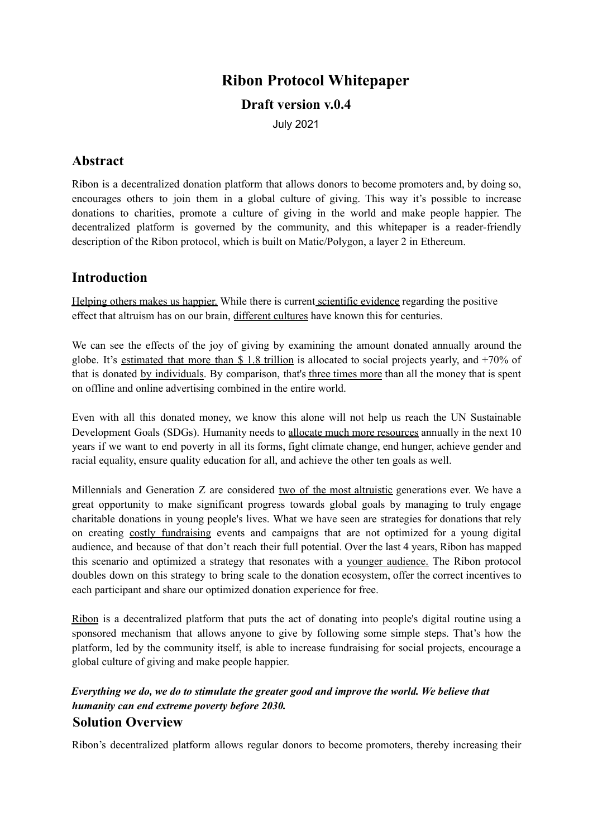# **Ribon Protocol Whitepaper**

### **Draft version v.0.4**

July 2021

## **Abstract**

Ribon is a decentralized donation platform that allows donors to become promoters and, by doing so, encourages others to join them in a global culture of giving. This way it's possible to increase donations to charities, promote a culture of giving in the world and make people happier. The decentralized platform is governed by the community, and this whitepaper is a reader-friendly description of the Ribon protocol, which is built on Matic/Polygon, a layer 2 in Ethereum.

## **Introduction**

Helping others makes us happier. While there is current scientific evidence regarding the positive effect that altruism has on our brain, different cultures have known this for centuries.

We can see the effects of the joy of giving by examining the amount donated annually around the globe. It's estimated that more than \$ 1.8 trillion is allocated to social projects yearly, and +70% of that is donated by individuals. By comparison, that's three times more than all the money that is spent on offline and online advertising combined in the entire world.

Even with all this donated money, we know this alone will not help us reach the UN Sustainable Development Goals (SDGs). Humanity needs to allocate much more resources annually in the next 10 years if we want to end poverty in all its forms, fight climate change, end hunger, achieve gender and racial equality, ensure quality education for all, and achieve the other ten goals as well.

Millennials and Generation Z are considered two of the most altruistic generations ever. We have a great opportunity to make significant progress towards global goals by managing to truly engage charitable donations in young people's lives. What we have seen are strategies for donations that rely on creating costly fundraising events and campaigns that are not optimized for a young digital audience, and because of that don't reach their full potential. Over the last 4 years, Ribon has mapped this scenario and optimized a strategy that resonates with a younger audience. The Ribon protocol doubles down on this strategy to bring scale to the donation ecosystem, offer the correct incentives to each participant and share our optimized donation experience for free.

Ribon is a decentralized platform that puts the act of donating into people's digital routine using a sponsored mechanism that allows anyone to give by following some simple steps. That's how the platform, led by the community itself, is able to increase fundraising for social projects, encourage a global culture of giving and make people happier.

### *Everything we do, we do to stimulate the greater good and improve the world. We believe that humanity can end extreme poverty before 2030.* **Solution Overview**

Ribon's decentralized platform allows regular donors to become promoters, thereby increasing their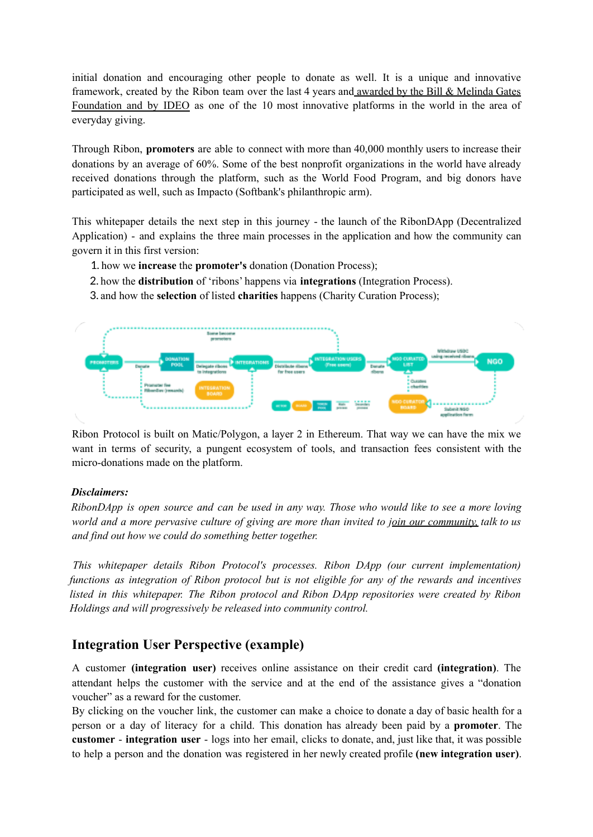initial donation and encouraging other people to donate as well. It is a unique and innovative framework, created by the Ribon team over the last 4 years and awarded by the Bill & Melinda Gates Foundation and by IDEO as one of the 10 most innovative platforms in the world in the area of everyday giving.

Through Ribon, **promoters** are able to connect with more than 40,000 monthly users to increase their donations by an average of 60%. Some of the best nonprofit organizations in the world have already received donations through the platform, such as the World Food Program, and big donors have participated as well, such as Impacto (Softbank's philanthropic arm).

This whitepaper details the next step in this journey - the launch of the RibonDApp (Decentralized Application) - and explains the three main processes in the application and how the community can govern it in this first version:

- 1. how we **increase** the **promoter's** donation (Donation Process);
- 2. how the **distribution** of 'ribons' happens via **integrations** (Integration Process).
- 3. and how the **selection** of listed **charities** happens (Charity Curation Process);



Ribon Protocol is built on Matic/Polygon, a layer 2 in Ethereum. That way we can have the mix we want in terms of security, a pungent ecosystem of tools, and transaction fees consistent with the micro-donations made on the platform.

#### *Disclaimers:*

RibonDApp is open source and can be used in any way. Those who would like to see a more loving world and a more pervasive culture of giving are more than invited to join our community, talk to us *and find out how we could do something better together.*

*This whitepaper details Ribon Protocol's processes. Ribon DApp (our current implementation) functions as integration of Ribon protocol but is not eligible for any of the rewards and incentives listed in this whitepaper. The Ribon protocol and Ribon DApp repositories were created by Ribon Holdings and will progressively be released into community control.*

### **Integration User Perspective (example)**

A customer **(integration user)** receives online assistance on their credit card **(integration)**. The attendant helps the customer with the service and at the end of the assistance gives a "donation voucher" as a reward for the customer.

By clicking on the voucher link, the customer can make a choice to donate a day of basic health for a person or a day of literacy for a child. This donation has already been paid by a **promoter**. The **customer** - **integration user** - logs into her email, clicks to donate, and, just like that, it was possible to help a person and the donation was registered in her newly created profile **(new integration user)**.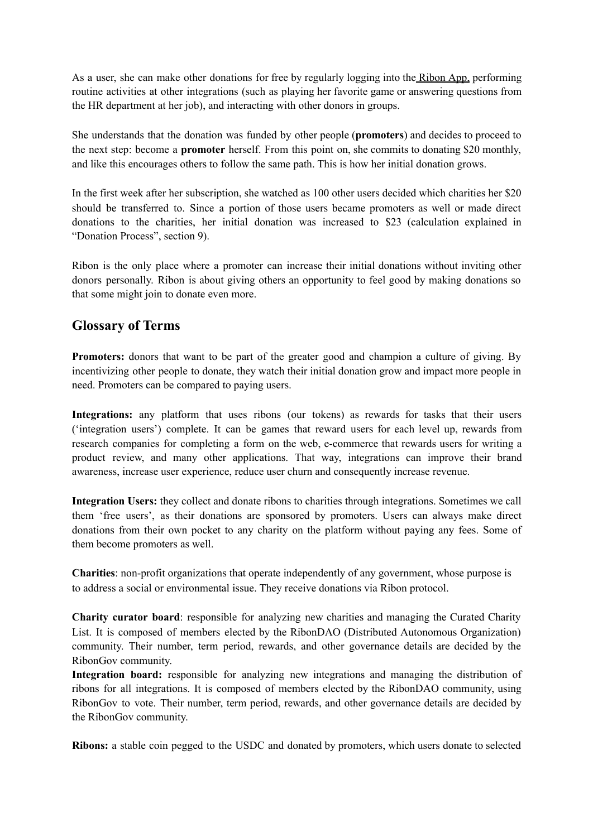As a user, she can make other donations for free by regularly logging into the Ribon App, performing routine activities at other integrations (such as playing her favorite game or answering questions from the HR department at her job), and interacting with other donors in groups.

She understands that the donation was funded by other people (**promoters**) and decides to proceed to the next step: become a **promoter** herself. From this point on, she commits to donating \$20 monthly, and like this encourages others to follow the same path. This is how her initial donation grows.

In the first week after her subscription, she watched as 100 other users decided which charities her \$20 should be transferred to. Since a portion of those users became promoters as well or made direct donations to the charities, her initial donation was increased to \$23 (calculation explained in "Donation Process", section 9).

Ribon is the only place where a promoter can increase their initial donations without inviting other donors personally. Ribon is about giving others an opportunity to feel good by making donations so that some might join to donate even more.

## **Glossary of Terms**

**Promoters:** donors that want to be part of the greater good and champion a culture of giving. By incentivizing other people to donate, they watch their initial donation grow and impact more people in need. Promoters can be compared to paying users.

**Integrations:** any platform that uses ribons (our tokens) as rewards for tasks that their users ('integration users') complete. It can be games that reward users for each level up, rewards from research companies for completing a form on the web, e-commerce that rewards users for writing a product review, and many other applications. That way, integrations can improve their brand awareness, increase user experience, reduce user churn and consequently increase revenue.

**Integration Users:** they collect and donate ribons to charities through integrations. Sometimes we call them 'free users', as their donations are sponsored by promoters. Users can always make direct donations from their own pocket to any charity on the platform without paying any fees. Some of them become promoters as well.

**Charities**: non-profit organizations that operate independently of any government, whose purpose is to address a social or environmental issue. They receive donations via Ribon protocol.

**Charity curator board**: responsible for analyzing new charities and managing the Curated Charity List. It is composed of members elected by the RibonDAO (Distributed Autonomous Organization) community. Their number, term period, rewards, and other governance details are decided by the RibonGov community.

**Integration board:** responsible for analyzing new integrations and managing the distribution of ribons for all integrations. It is composed of members elected by the RibonDAO community, using RibonGov to vote. Their number, term period, rewards, and other governance details are decided by the RibonGov community.

**Ribons:** a stable coin pegged to the USDC and donated by promoters, which users donate to selected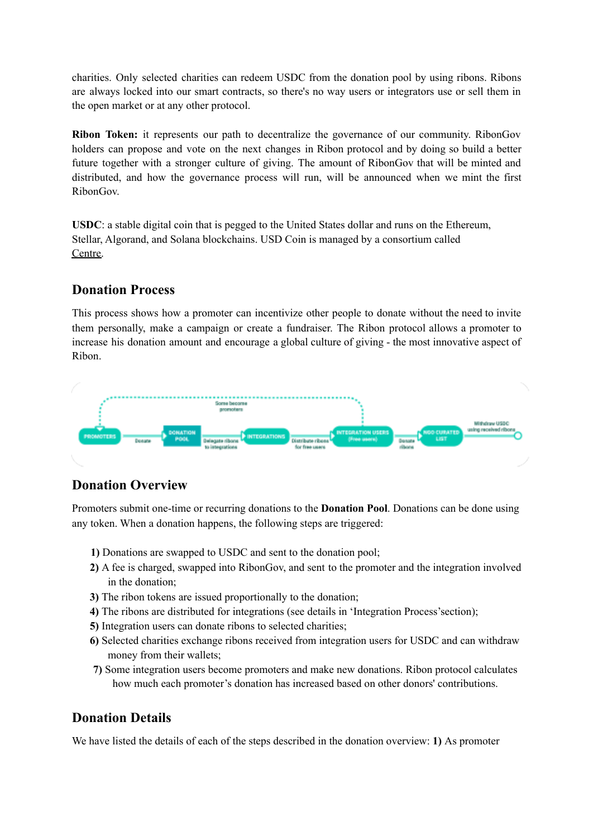charities. Only selected charities can redeem USDC from the donation pool by using ribons. Ribons are always locked into our smart contracts, so there's no way users or integrators use or sell them in the open market or at any other protocol.

**Ribon Token:** it represents our path to decentralize the governance of our community. RibonGov holders can propose and vote on the next changes in Ribon protocol and by doing so build a better future together with a stronger culture of giving. The amount of RibonGov that will be minted and distributed, and how the governance process will run, will be announced when we mint the first RibonGov.

**USDC**: a stable digital coin that is pegged to the United States dollar and runs on the Ethereum, Stellar, Algorand, and Solana blockchains. USD Coin is managed by a consortium called Centre.

## **Donation Process**

This process shows how a promoter can incentivize other people to donate without the need to invite them personally, make a campaign or create a fundraiser. The Ribon protocol allows a promoter to increase his donation amount and encourage a global culture of giving - the most innovative aspect of Ribon.



## **Donation Overview**

Promoters submit one-time or recurring donations to the **Donation Pool**. Donations can be done using any token. When a donation happens, the following steps are triggered:

- **1)** Donations are swapped to USDC and sent to the donation pool;
- **2)** A fee is charged, swapped into RibonGov, and sent to the promoter and the integration involved in the donation;
- **3)** The ribon tokens are issued proportionally to the donation;
- **4)** The ribons are distributed for integrations (see details in 'Integration Process'section);
- **5)** Integration users can donate ribons to selected charities;
- **6)** Selected charities exchange ribons received from integration users for USDC and can withdraw money from their wallets;
- **7)** Some integration users become promoters and make new donations. Ribon protocol calculates how much each promoter's donation has increased based on other donors' contributions.

## **Donation Details**

We have listed the details of each of the steps described in the donation overview: **1)** As promoter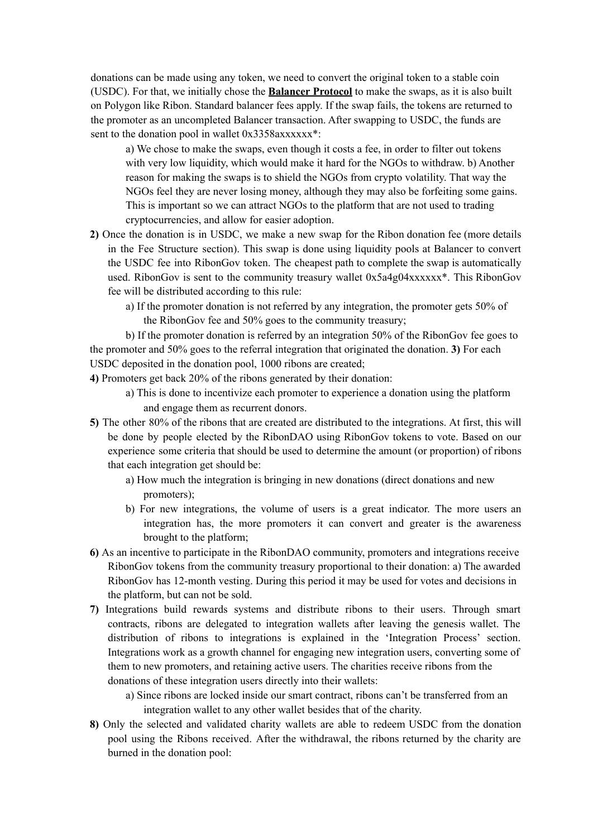donations can be made using any token, we need to convert the original token to a stable coin (USDC). For that, we initially chose the **Balancer Protocol** to make the swaps, as it is also built on Polygon like Ribon. Standard balancer fees apply. If the swap fails, the tokens are returned to the promoter as an uncompleted Balancer transaction. After swapping to USDC, the funds are sent to the donation pool in wallet 0x3358axxxxxx<sup>\*</sup>:

a) We chose to make the swaps, even though it costs a fee, in order to filter out tokens with very low liquidity, which would make it hard for the NGOs to withdraw. b) Another reason for making the swaps is to shield the NGOs from crypto volatility. That way the NGOs feel they are never losing money, although they may also be forfeiting some gains. This is important so we can attract NGOs to the platform that are not used to trading cryptocurrencies, and allow for easier adoption.

- **2)** Once the donation is in USDC, we make a new swap for the Ribon donation fee (more details in the Fee Structure section). This swap is done using liquidity pools at Balancer to convert the USDC fee into RibonGov token. The cheapest path to complete the swap is automatically used. RibonGov is sent to the community treasury wallet 0x5a4g04xxxxxx\*. This RibonGov fee will be distributed according to this rule:
	- a) If the promoter donation is not referred by any integration, the promoter gets 50% of the RibonGov fee and 50% goes to the community treasury;

b) If the promoter donation is referred by an integration 50% of the RibonGov fee goes to the promoter and 50% goes to the referral integration that originated the donation. **3)** For each USDC deposited in the donation pool, 1000 ribons are created;

**4)** Promoters get back 20% of the ribons generated by their donation:

- a) This is done to incentivize each promoter to experience a donation using the platform and engage them as recurrent donors.
- **5)** The other 80% of the ribons that are created are distributed to the integrations. At first, this will be done by people elected by the RibonDAO using RibonGov tokens to vote. Based on our experience some criteria that should be used to determine the amount (or proportion) of ribons that each integration get should be:
	- a) How much the integration is bringing in new donations (direct donations and new promoters);
	- b) For new integrations, the volume of users is a great indicator. The more users an integration has, the more promoters it can convert and greater is the awareness brought to the platform;
- **6)** As an incentive to participate in the RibonDAO community, promoters and integrations receive RibonGov tokens from the community treasury proportional to their donation: a) The awarded RibonGov has 12-month vesting. During this period it may be used for votes and decisions in the platform, but can not be sold.
- **7)** Integrations build rewards systems and distribute ribons to their users. Through smart contracts, ribons are delegated to integration wallets after leaving the genesis wallet. The distribution of ribons to integrations is explained in the 'Integration Process' section. Integrations work as a growth channel for engaging new integration users, converting some of them to new promoters, and retaining active users. The charities receive ribons from the donations of these integration users directly into their wallets:
	- a) Since ribons are locked inside our smart contract, ribons can't be transferred from an integration wallet to any other wallet besides that of the charity.
- **8)** Only the selected and validated charity wallets are able to redeem USDC from the donation pool using the Ribons received. After the withdrawal, the ribons returned by the charity are burned in the donation pool: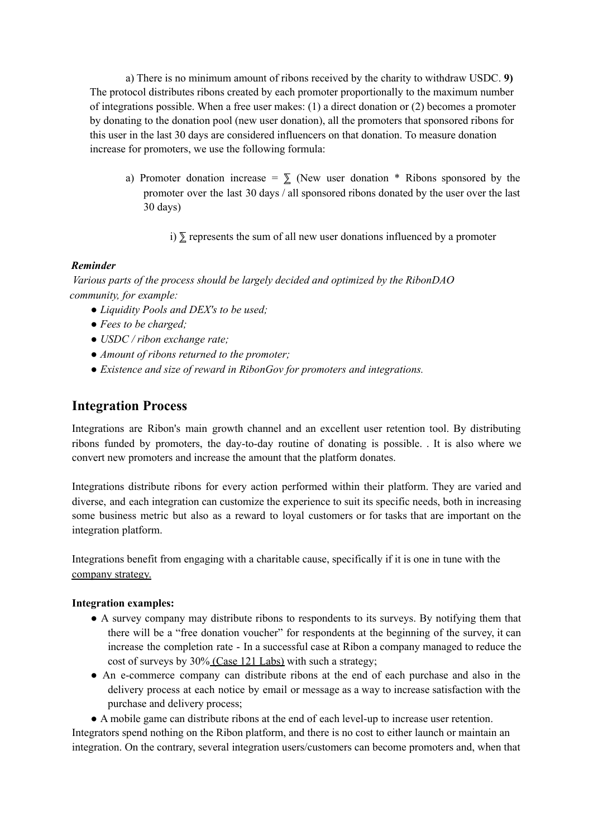a) There is no minimum amount of ribons received by the charity to withdraw USDC. **9)** The protocol distributes ribons created by each promoter proportionally to the maximum number of integrations possible. When a free user makes: (1) a direct donation or (2) becomes a promoter by donating to the donation pool (new user donation), all the promoters that sponsored ribons for this user in the last 30 days are considered influencers on that donation. To measure donation increase for promoters, we use the following formula:

a) Promoter donation increase =  $\Sigma$  (New user donation \* Ribons sponsored by the promoter over the last 30 days / all sponsored ribons donated by the user over the last 30 days)

i)  $\Sigma$  represents the sum of all new user donations influenced by a promoter

#### *Reminder*

*Various parts of the process should be largely decided and optimized by the RibonDAO community, for example:*

- *● Liquidity Pools and DEX's to be used;*
- *● Fees to be charged;*
- *● USDC / ribon exchange rate;*
- *● Amount of ribons returned to the promoter;*
- *● Existence and size of reward in RibonGov for promoters and integrations.*

## **Integration Process**

Integrations are Ribon's main growth channel and an excellent user retention tool. By distributing ribons funded by promoters, the day-to-day routine of donating is possible. . It is also where we convert new promoters and increase the amount that the platform donates.

Integrations distribute ribons for every action performed within their platform. They are varied and diverse, and each integration can customize the experience to suit its specific needs, both in increasing some business metric but also as a reward to loyal customers or for tasks that are important on the integration platform.

Integrations benefit from engaging with a charitable cause, specifically if it is one in tune with the company strategy.

#### **Integration examples:**

- A survey company may distribute ribons to respondents to its surveys. By notifying them that there will be a "free donation voucher" for respondents at the beginning of the survey, it can increase the completion rate - In a successful case at Ribon a company managed to reduce the cost of surveys by 30% (Case 121 Labs) with such a strategy;
- An e-commerce company can distribute ribons at the end of each purchase and also in the delivery process at each notice by email or message as a way to increase satisfaction with the purchase and delivery process;

● A mobile game can distribute ribons at the end of each level-up to increase user retention.

Integrators spend nothing on the Ribon platform, and there is no cost to either launch or maintain an integration. On the contrary, several integration users/customers can become promoters and, when that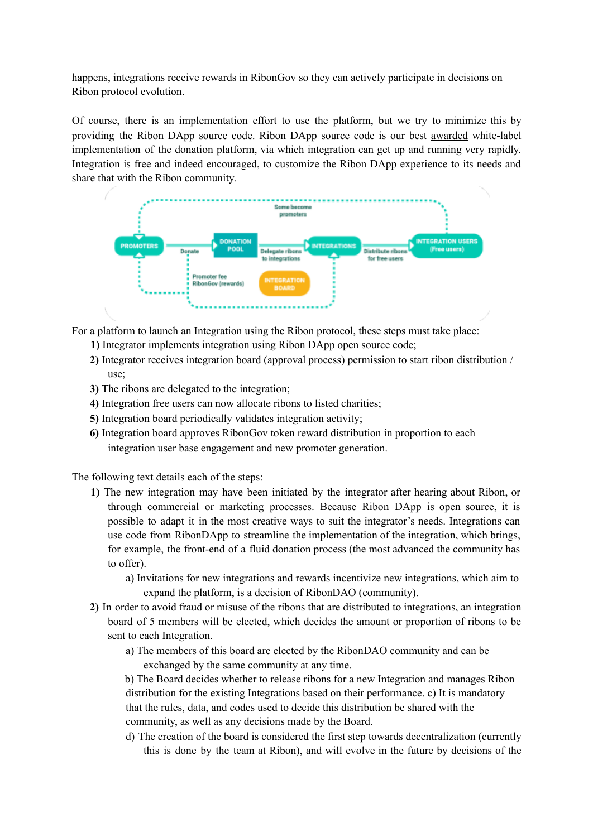happens, integrations receive rewards in RibonGov so they can actively participate in decisions on Ribon protocol evolution.

Of course, there is an implementation effort to use the platform, but we try to minimize this by providing the Ribon DApp source code. Ribon DApp source code is our best awarded white-label implementation of the donation platform, via which integration can get up and running very rapidly. Integration is free and indeed encouraged, to customize the Ribon DApp experience to its needs and share that with the Ribon community.



For a platform to launch an Integration using the Ribon protocol, these steps must take place:

- **1)** Integrator implements integration using Ribon DApp open source code;
- **2)** Integrator receives integration board (approval process) permission to start ribon distribution / use;
- **3)** The ribons are delegated to the integration;
- **4)** Integration free users can now allocate ribons to listed charities;
- **5)** Integration board periodically validates integration activity;
- **6)** Integration board approves RibonGov token reward distribution in proportion to each integration user base engagement and new promoter generation.

The following text details each of the steps:

- **1)** The new integration may have been initiated by the integrator after hearing about Ribon, or through commercial or marketing processes. Because Ribon DApp is open source, it is possible to adapt it in the most creative ways to suit the integrator's needs. Integrations can use code from RibonDApp to streamline the implementation of the integration, which brings, for example, the front-end of a fluid donation process (the most advanced the community has to offer).
	- a) Invitations for new integrations and rewards incentivize new integrations, which aim to expand the platform, is a decision of RibonDAO (community).
- **2)** In order to avoid fraud or misuse of the ribons that are distributed to integrations, an integration board of 5 members will be elected, which decides the amount or proportion of ribons to be sent to each Integration.
	- a) The members of this board are elected by the RibonDAO community and can be exchanged by the same community at any time.

b) The Board decides whether to release ribons for a new Integration and manages Ribon distribution for the existing Integrations based on their performance. c) It is mandatory that the rules, data, and codes used to decide this distribution be shared with the community, as well as any decisions made by the Board.

d) The creation of the board is considered the first step towards decentralization (currently this is done by the team at Ribon), and will evolve in the future by decisions of the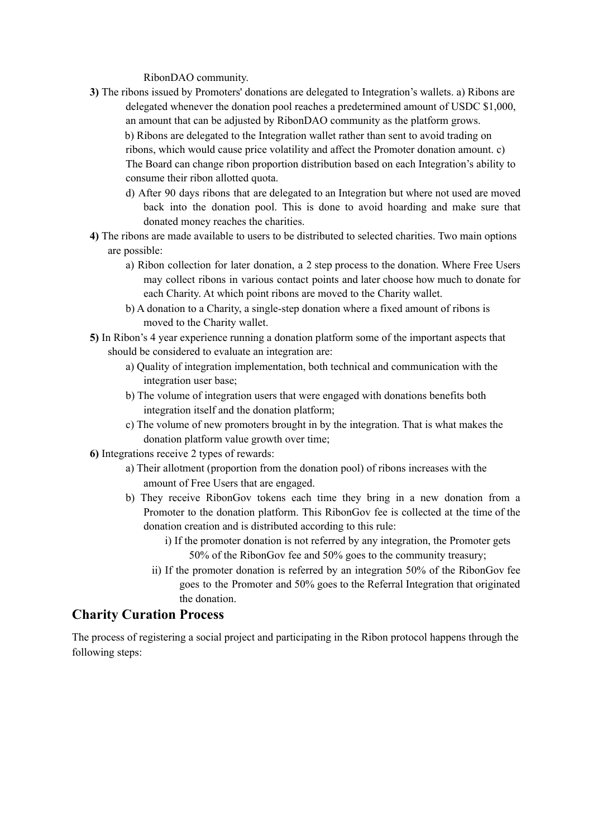RibonDAO community.

- **3)** The ribons issued by Promoters' donations are delegated to Integration's wallets. a) Ribons are delegated whenever the donation pool reaches a predetermined amount of USDC \$1,000, an amount that can be adjusted by RibonDAO community as the platform grows. b) Ribons are delegated to the Integration wallet rather than sent to avoid trading on ribons, which would cause price volatility and affect the Promoter donation amount. c) The Board can change ribon proportion distribution based on each Integration's ability to consume their ribon allotted quota.
	- d) After 90 days ribons that are delegated to an Integration but where not used are moved back into the donation pool. This is done to avoid hoarding and make sure that donated money reaches the charities.
- **4)** The ribons are made available to users to be distributed to selected charities. Two main options are possible:
	- a) Ribon collection for later donation, a 2 step process to the donation. Where Free Users may collect ribons in various contact points and later choose how much to donate for each Charity. At which point ribons are moved to the Charity wallet.
	- b) A donation to a Charity, a single-step donation where a fixed amount of ribons is moved to the Charity wallet.
- **5)** In Ribon's 4 year experience running a donation platform some of the important aspects that should be considered to evaluate an integration are:
	- a) Quality of integration implementation, both technical and communication with the integration user base;
	- b) The volume of integration users that were engaged with donations benefits both integration itself and the donation platform;
	- c) The volume of new promoters brought in by the integration. That is what makes the donation platform value growth over time;
- **6)** Integrations receive 2 types of rewards:
	- a) Their allotment (proportion from the donation pool) of ribons increases with the amount of Free Users that are engaged.
	- b) They receive RibonGov tokens each time they bring in a new donation from a Promoter to the donation platform. This RibonGov fee is collected at the time of the donation creation and is distributed according to this rule:
		- i) If the promoter donation is not referred by any integration, the Promoter gets 50% of the RibonGov fee and 50% goes to the community treasury;
		- ii) If the promoter donation is referred by an integration 50% of the RibonGov fee goes to the Promoter and 50% goes to the Referral Integration that originated the donation.

## **Charity Curation Process**

The process of registering a social project and participating in the Ribon protocol happens through the following steps: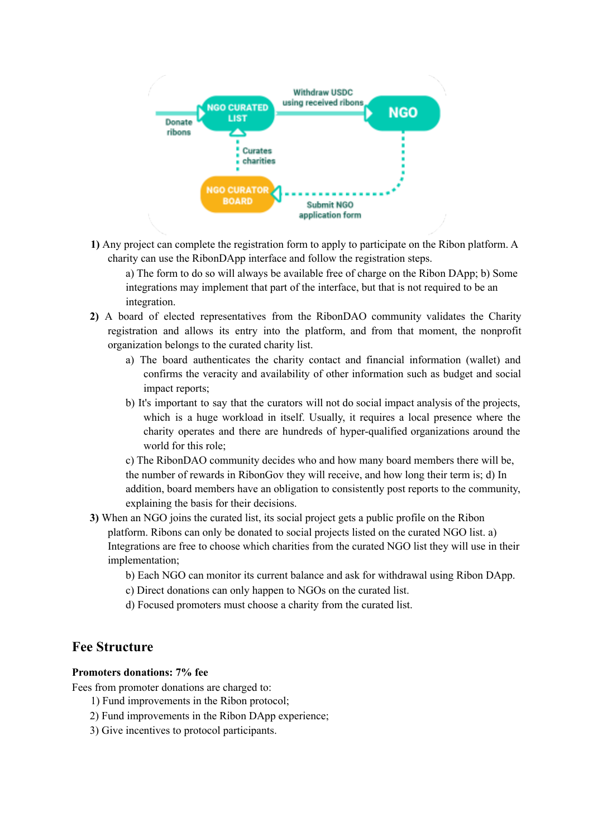

**1)** Any project can complete the registration form to apply to participate on the Ribon platform. A charity can use the RibonDApp interface and follow the registration steps.

a) The form to do so will always be available free of charge on the Ribon DApp; b) Some integrations may implement that part of the interface, but that is not required to be an integration.

- **2)** A board of elected representatives from the RibonDAO community validates the Charity registration and allows its entry into the platform, and from that moment, the nonprofit organization belongs to the curated charity list.
	- a) The board authenticates the charity contact and financial information (wallet) and confirms the veracity and availability of other information such as budget and social impact reports;
	- b) It's important to say that the curators will not do social impact analysis of the projects, which is a huge workload in itself. Usually, it requires a local presence where the charity operates and there are hundreds of hyper-qualified organizations around the world for this role;

c) The RibonDAO community decides who and how many board members there will be, the number of rewards in RibonGov they will receive, and how long their term is; d) In addition, board members have an obligation to consistently post reports to the community, explaining the basis for their decisions.

- **3)** When an NGO joins the curated list, its social project gets a public profile on the Ribon platform. Ribons can only be donated to social projects listed on the curated NGO list. a) Integrations are free to choose which charities from the curated NGO list they will use in their implementation;
	- b) Each NGO can monitor its current balance and ask for withdrawal using Ribon DApp.
	- c) Direct donations can only happen to NGOs on the curated list.
	- d) Focused promoters must choose a charity from the curated list.

### **Fee Structure**

#### **Promoters donations: 7% fee**

Fees from promoter donations are charged to:

- 1) Fund improvements in the Ribon protocol;
- 2) Fund improvements in the Ribon DApp experience;
- 3) Give incentives to protocol participants.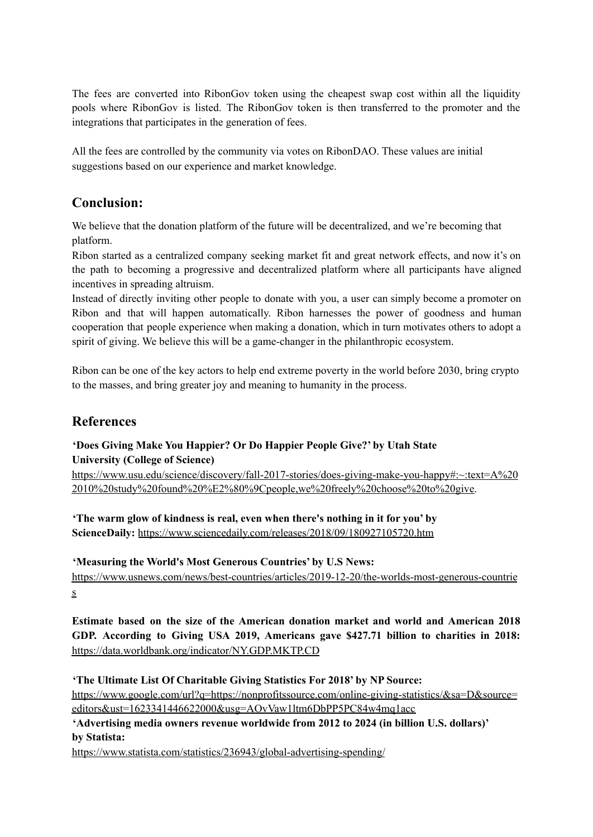The fees are converted into RibonGov token using the cheapest swap cost within all the liquidity pools where RibonGov is listed. The RibonGov token is then transferred to the promoter and the integrations that participates in the generation of fees.

All the fees are controlled by the community via votes on RibonDAO. These values are initial suggestions based on our experience and market knowledge.

## **Conclusion:**

We believe that the donation platform of the future will be decentralized, and we're becoming that platform.

Ribon started as a centralized company seeking market fit and great network effects, and now it's on the path to becoming a progressive and decentralized platform where all participants have aligned incentives in spreading altruism.

Instead of directly inviting other people to donate with you, a user can simply become a promoter on Ribon and that will happen automatically. Ribon harnesses the power of goodness and human cooperation that people experience when making a donation, which in turn motivates others to adopt a spirit of giving. We believe this will be a game-changer in the philanthropic ecosystem.

Ribon can be one of the key actors to help end extreme poverty in the world before 2030, bring crypto to the masses, and bring greater joy and meaning to humanity in the process.

## **References**

### **'Does Giving Make You Happier? Or Do Happier People Give?' by Utah State University (College of Science)**

https://www.usu.edu/science/discovery/fall-2017-stories/does-giving-make-you-happy#:~:text=A%20 2010%20study%20found%20%E2%80%9Cpeople,we%20freely%20choose%20to%20give.

**'The warm glow of kindness is real, even when there's nothing in it for you' by ScienceDaily:** https://www.sciencedaily.com/releases/2018/09/180927105720.htm

### **'Measuring the World's Most Generous Countries' by U.S News:**

https://www.usnews.com/news/best-countries/articles/2019-12-20/the-worlds-most-generous-countrie s

**Estimate based on the size of the American donation market and world and American 2018 GDP. According to Giving USA 2019, Americans gave \$427.71 billion to charities in 2018:** https://data.worldbank.org/indicator/NY.GDP.MKTP.CD

### **'The Ultimate List Of Charitable Giving Statistics For 2018' by NP Source:**

https://www.google.com/url?q=https://nonprofitssource.com/online-giving-statistics/&sa=D&source= editors&ust=1623341446622000&usg=AOvVaw1ltm6DbPP5PC84w4mq1acc

**'Advertising media owners revenue worldwide from 2012 to 2024 (in billion U.S. dollars)' by Statista:**

https://www.statista.com/statistics/236943/global-advertising-spending/